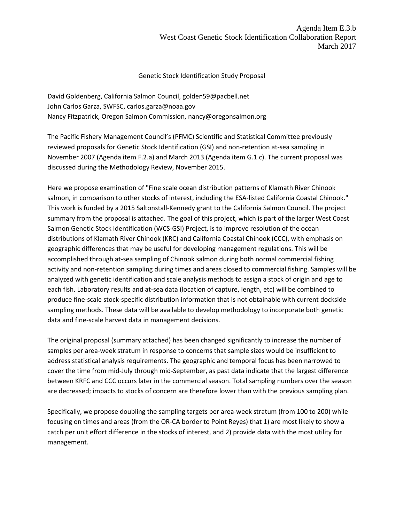## Genetic Stock Identification Study Proposal

David Goldenberg, California Salmon Council, golden59@pacbell.net John Carlos Garza, SWFSC, carlos.garza@noaa.gov Nancy Fitzpatrick, Oregon Salmon Commission, nancy@oregonsalmon.org

The Pacific Fishery Management Council's (PFMC) Scientific and Statistical Committee previously reviewed proposals for Genetic Stock Identification (GSI) and non-retention at-sea sampling in November 2007 (Agenda item F.2.a) and March 2013 (Agenda item G.1.c). The current proposal was discussed during the Methodology Review, November 2015.

Here we propose examination of "Fine scale ocean distribution patterns of Klamath River Chinook salmon, in comparison to other stocks of interest, including the ESA-listed California Coastal Chinook." This work is funded by a 2015 Saltonstall-Kennedy grant to the California Salmon Council. The project summary from the proposal is attached. The goal of this project, which is part of the larger West Coast Salmon Genetic Stock Identification (WCS-GSI) Project, is to improve resolution of the ocean distributions of Klamath River Chinook (KRC) and California Coastal Chinook (CCC), with emphasis on geographic differences that may be useful for developing management regulations. This will be accomplished through at-sea sampling of Chinook salmon during both normal commercial fishing activity and non-retention sampling during times and areas closed to commercial fishing. Samples will be analyzed with genetic identification and scale analysis methods to assign a stock of origin and age to each fish. Laboratory results and at-sea data (location of capture, length, etc) will be combined to produce fine-scale stock-specific distribution information that is not obtainable with current dockside sampling methods. These data will be available to develop methodology to incorporate both genetic data and fine-scale harvest data in management decisions.

The original proposal (summary attached) has been changed significantly to increase the number of samples per area-week stratum in response to concerns that sample sizes would be insufficient to address statistical analysis requirements. The geographic and temporal focus has been narrowed to cover the time from mid-July through mid-September, as past data indicate that the largest difference between KRFC and CCC occurs later in the commercial season. Total sampling numbers over the season are decreased; impacts to stocks of concern are therefore lower than with the previous sampling plan.

Specifically, we propose doubling the sampling targets per area-week stratum (from 100 to 200) while focusing on times and areas (from the OR-CA border to Point Reyes) that 1) are most likely to show a catch per unit effort difference in the stocks of interest, and 2) provide data with the most utility for management.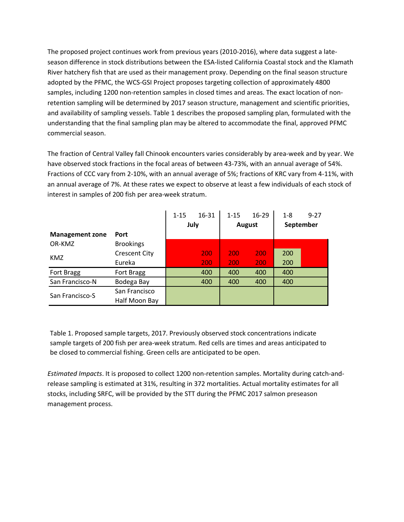The proposed project continues work from previous years (2010-2016), where data suggest a lateseason difference in stock distributions between the ESA-listed California Coastal stock and the Klamath River hatchery fish that are used as their management proxy. Depending on the final season structure adopted by the PFMC, the WCS-GSI Project proposes targeting collection of approximately 4800 samples, including 1200 non-retention samples in closed times and areas. The exact location of nonretention sampling will be determined by 2017 season structure, management and scientific priorities, and availability of sampling vessels. Table 1 describes the proposed sampling plan, formulated with the understanding that the final sampling plan may be altered to accommodate the final, approved PFMC commercial season.

The fraction of Central Valley fall Chinook encounters varies considerably by area-week and by year. We have observed stock fractions in the focal areas of between 43-73%, with an annual average of 54%. Fractions of CCC vary from 2-10%, with an annual average of 5%; fractions of KRC vary from 4-11%, with an annual average of 7%. At these rates we expect to observe at least a few individuals of each stock of interest in samples of 200 fish per area-week stratum.

|                        |                      | $1 - 15$ | 16-31 | $1 - 15$      | $16-29$ | $1 - 8$    | $9 - 27$ |
|------------------------|----------------------|----------|-------|---------------|---------|------------|----------|
|                        |                      | July     |       | <b>August</b> |         | September  |          |
| <b>Management zone</b> | <b>Port</b>          |          |       |               |         |            |          |
| OR-KMZ                 | <b>Brookings</b>     |          |       |               |         |            |          |
| <b>KMZ</b>             | <b>Crescent City</b> |          | 200   | 200           | 200     | 200        |          |
|                        | Eureka               |          | 200   | 200           | 200     | <b>200</b> |          |
| Fort Bragg             | Fort Bragg           |          | 400   | 400           | 400     | 400        |          |
| San Francisco-N        | Bodega Bay           |          | 400   | 400           | 400     | 400        |          |
| San Francisco-S        | San Francisco        |          |       |               |         |            |          |
|                        | Half Moon Bay        |          |       |               |         |            |          |

Table 1. Proposed sample targets, 2017. Previously observed stock concentrations indicate sample targets of 200 fish per area-week stratum. Red cells are times and areas anticipated to be closed to commercial fishing. Green cells are anticipated to be open.

*Estimated Impacts*. It is proposed to collect 1200 non-retention samples. Mortality during catch-andrelease sampling is estimated at 31%, resulting in 372 mortalities. Actual mortality estimates for all stocks, including SRFC, will be provided by the STT during the PFMC 2017 salmon preseason management process.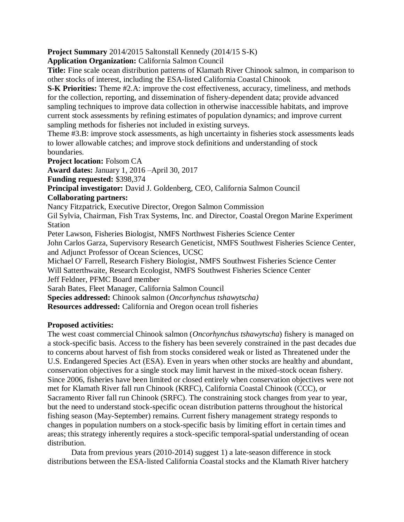**Project Summary** 2014/2015 Saltonstall Kennedy (2014/15 S-K)

**Application Organization:** California Salmon Council

**Title:** Fine scale ocean distribution patterns of Klamath River Chinook salmon, in comparison to other stocks of interest, including the ESA-listed California Coastal Chinook

**S-K Priorities:** Theme #2.A: improve the cost effectiveness, accuracy, timeliness, and methods for the collection, reporting, and dissemination of fishery-dependent data; provide advanced sampling techniques to improve data collection in otherwise inaccessible habitats, and improve current stock assessments by refining estimates of population dynamics; and improve current sampling methods for fisheries not included in existing surveys.

Theme #3.B: improve stock assessments, as high uncertainty in fisheries stock assessments leads to lower allowable catches; and improve stock definitions and understanding of stock boundaries.

**Project location:** Folsom CA

**Award dates:** January 1, 2016 –April 30, 2017

**Funding requested:** \$398,374

**Principal investigator:** David J. Goldenberg, CEO, California Salmon Council

## **Collaborating partners:**

Nancy Fitzpatrick, Executive Director, Oregon Salmon Commission

Gil Sylvia, Chairman, Fish Trax Systems, Inc. and Director, Coastal Oregon Marine Experiment Station

Peter Lawson, Fisheries Biologist, NMFS Northwest Fisheries Science Center

John Carlos Garza, Supervisory Research Geneticist, NMFS Southwest Fisheries Science Center, and Adjunct Professor of Ocean Sciences, UCSC

Michael O' Farrell, Research Fishery Biologist, NMFS Southwest Fisheries Science Center Will Satterthwaite, Research Ecologist, NMFS Southwest Fisheries Science Center

Jeff Feldner, PFMC Board member

Sarah Bates, Fleet Manager, California Salmon Council

**Species addressed:** Chinook salmon (*Oncorhynchus tshawytscha)*

**Resources addressed:** California and Oregon ocean troll fisheries

## **Proposed activities:**

The west coast commercial Chinook salmon (*Oncorhynchus tshawytscha*) fishery is managed on a stock-specific basis. Access to the fishery has been severely constrained in the past decades due to concerns about harvest of fish from stocks considered weak or listed as Threatened under the U.S. Endangered Species Act (ESA). Even in years when other stocks are healthy and abundant, conservation objectives for a single stock may limit harvest in the mixed-stock ocean fishery. Since 2006, fisheries have been limited or closed entirely when conservation objectives were not met for Klamath River fall run Chinook (KRFC), California Coastal Chinook (CCC), or Sacramento River fall run Chinook (SRFC). The constraining stock changes from year to year, but the need to understand stock-specific ocean distribution patterns throughout the historical fishing season (May-September) remains. Current fishery management strategy responds to changes in population numbers on a stock-specific basis by limiting effort in certain times and areas; this strategy inherently requires a stock-specific temporal-spatial understanding of ocean distribution.

Data from previous years (2010-2014) suggest 1) a late-season difference in stock distributions between the ESA-listed California Coastal stocks and the Klamath River hatchery